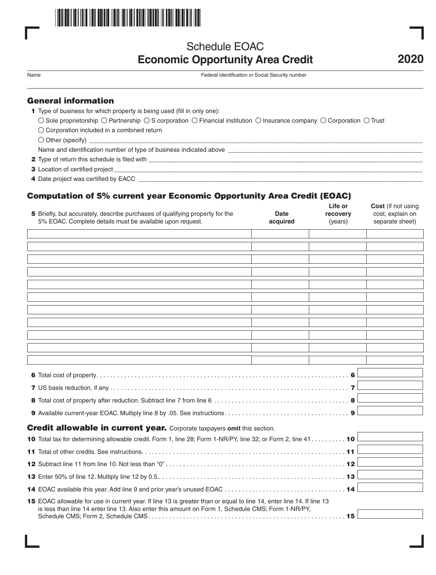

# Schedule EOAC **Economic Opportunity Area Credit 2020**

Name Federal Identification or Social Security number

# General information

- 1 Type of business for which property is being used (fill in only one):
	- $\circlearrowright$  Sole proprietorship  $\circlearrowright$  Partnership  $\circlearrowright$  S corporation  $\circlearrowright$  Financial institution  $\circlearrowright$  Insurance company  $\circlearrowright$  Corporation  $\circlearrowright$  Trust
	- $\bigcirc$  Corporation included in a combined return
	- $\bigcirc$  Other (specify)

Name and identification number of type of business indicated above \_

- 2 Type of return this schedule is filed with \_
- 3 Location of certified project
- 4 Date project was certified by EACC \_

# Computation of 5% current year Economic Opportunity Area Credit (EOAC)

| 5 Briefly, but accurately, describe purchases of qualifying property for the<br>5% EOAC. Complete details must be available upon request. | <b>Date</b><br>acquired | Life or<br>recovery<br>(years) | Cost (if not using<br>cost, explain on<br>separate sheet) |
|-------------------------------------------------------------------------------------------------------------------------------------------|-------------------------|--------------------------------|-----------------------------------------------------------|
|                                                                                                                                           |                         |                                |                                                           |
|                                                                                                                                           |                         |                                |                                                           |
|                                                                                                                                           |                         |                                |                                                           |
|                                                                                                                                           |                         |                                |                                                           |
|                                                                                                                                           |                         |                                |                                                           |
|                                                                                                                                           |                         |                                |                                                           |
|                                                                                                                                           |                         |                                |                                                           |
|                                                                                                                                           |                         |                                |                                                           |
|                                                                                                                                           |                         |                                |                                                           |
|                                                                                                                                           |                         |                                |                                                           |
|                                                                                                                                           |                         |                                |                                                           |
|                                                                                                                                           |                         |                                |                                                           |
|                                                                                                                                           |                         |                                |                                                           |
|                                                                                                                                           |                         |                                |                                                           |
|                                                                                                                                           |                         |                                |                                                           |
| <b>Credit allowable in current year.</b> Corporate taxpayers omit this section.                                                           |                         |                                |                                                           |
| 10 Total tax for determining allowable credit. Form 1, line 28; Form 1-NR/PY, line 32; or Form 2, line 41 10                              |                         |                                |                                                           |
|                                                                                                                                           |                         |                                |                                                           |
|                                                                                                                                           |                         |                                |                                                           |
|                                                                                                                                           |                         |                                |                                                           |
|                                                                                                                                           |                         |                                |                                                           |
| 15 EOAC allowable for use in current year. If line 13 is greater than or equal to line 14, enter line 14. If line 13                      |                         |                                |                                                           |
| is less than line 14 enter line 13. Also enter this amount on Form 1, Schedule CMS; Form 1-NR/PY,                                         |                         |                                |                                                           |
|                                                                                                                                           |                         |                                |                                                           |